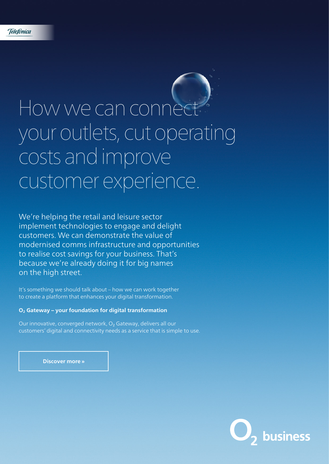# How we can connect your outlets, cut operating costs and improve customer experience.

We're helping the retail and leisure sector implement technologies to engage and delight customers. We can demonstrate the value of modernised comms infrastructure and opportunities to realise cost savings for your business. That's because we're already doing it for big names on the high street.

It's something we should talk about – how we can work together to create a platform that enhances your digital transformation.

#### **O2 Gateway – your foundation for digital transformation**

Our innovative, converged network, O<sub>2</sub> Gateway, delivers all our customers' digital and connectivity needs as a service that is simple to use.

**Discover more »**

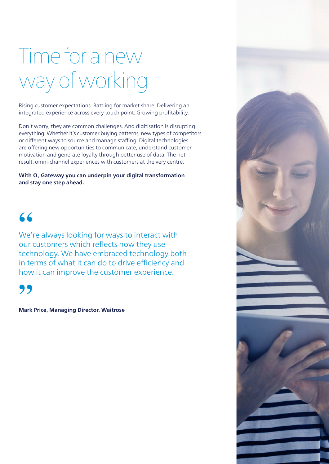## Time for a new way of working

Rising customer expectations. Battling for market share. Delivering an integrated experience across every touch point. Growing profitability.

Don't worry, they are common challenges. And digitisation is disrupting everything. Whether it's customer buying patterns, new types of competitors or different ways to source and manage staffing. Digital technologies are offering new opportunities to communicate, understand customer motivation and generate loyalty through better use of data. The net result: omni-channel experiences with customers at the very centre.

With O<sub>2</sub> Gateway you can underpin your digital transformation **and stay one step ahead.** 

### **"**

We're always looking for ways to interact with our customers which reflects how they use technology. We have embraced technology both in terms of what it can do to drive efficiency and how it can improve the customer experience.

**"**

**Mark Price, Managing Director, Waitrose**

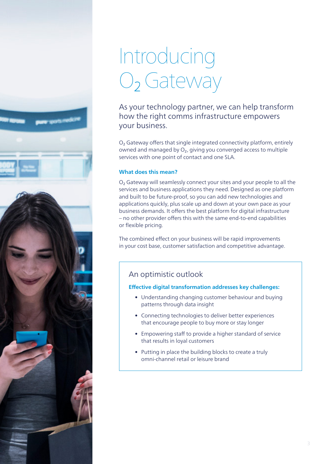

### Introducing O<sub>2</sub> Gateway

As your technology partner, we can help transform how the right comms infrastructure empowers your business.

O2 Gateway offers that single integrated connectivity platform, entirely owned and managed by  $O<sub>2</sub>$ , giving you converged access to multiple services with one point of contact and one SLA.

#### **What does this mean?**

O2 Gateway will seamlessly connect your sites and your people to all the services and business applications they need. Designed as one platform and built to be future-proof, so you can add new technologies and applications quickly, plus scale up and down at your own pace as your business demands. It offers the best platform for digital infrastructure – no other provider offers this with the same end-to-end capabilities or flexible pricing.

The combined effect on your business will be rapid improvements in your cost base, customer satisfaction and competitive advantage.

#### An optimistic outlook

#### **Effective digital transformation addresses key challenges:**

- Understanding changing customer behaviour and buying patterns through data insight
- Connecting technologies to deliver better experiences that encourage people to buy more or stay longer
- Empowering staff to provide a higher standard of service that results in loyal customers
- Putting in place the building blocks to create a truly omni-channel retail or leisure brand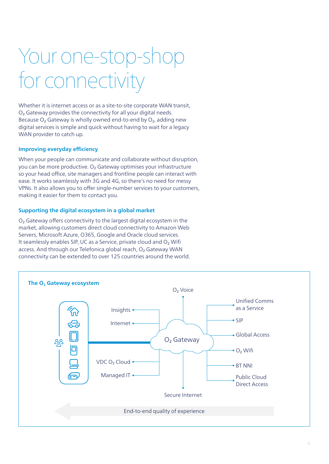### Your one-stop-shop for connectivit

Whether it is internet access or as a site-to-site corporate WAN transit, O<sub>2</sub> Gateway provides the connectivity for all your digital needs. Because  $O_2$  Gateway is wholly owned end-to-end by  $O_2$ , adding new digital services is simple and quick without having to wait for a legacy WAN provider to catch up.

#### **Improving everyday efficiency**

When your people can communicate and collaborate without disruption, you can be more productive. O<sub>2</sub> Gateway optimises your infrastructure so your head office, site managers and frontline people can interact with ease. It works seamlessly with 3G and 4G, so there's no need for messy VPNs. It also allows you to offer single-number services to your customers, making it easier for them to contact you.

#### **Supporting the digital ecosystem in a global market**

O<sub>2</sub> Gateway offers connectivity to the largest digital ecosystem in the market, allowing customers direct cloud connectivity to Amazon Web Servers, Microsoft Azure, O365, Google and Oracle cloud services. It seamlessly enables SIP, UC as a Service, private cloud and O2 Wifi access. And through our Telefonica global reach, O<sub>2</sub> Gateway WAN connectivity can be extended to over 125 countries around the world.

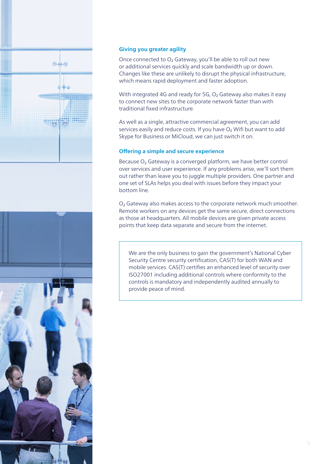

#### **Giving you greater agility**

Once connected to O<sub>2</sub> Gateway, you'll be able to roll out new or additional services quickly and scale bandwidth up or down. Changes like these are unlikely to disrupt the physical infrastructure, which means rapid deployment and faster adoption.

With integrated 4G and ready for 5G, O<sub>2</sub> Gateway also makes it easy to connect new sites to the corporate network faster than with traditional fixed infrastructure.

As well as a single, attractive commercial agreement, you can add services easily and reduce costs. If you have  $O<sub>2</sub>$  Wifi but want to add Skype for Business or MiCloud, we can just switch it on.

#### **Offering a simple and secure experience**

Because O<sub>2</sub> Gateway is a converged platform, we have better control over services and user experience. If any problems arise, we'll sort them out rather than leave you to juggle multiple providers. One partner and one set of SLAs helps you deal with issues before they impact your bottom line.

O<sub>2</sub> Gateway also makes access to the corporate network much smoother. Remote workers on any devices get the same secure, direct connections as those at headquarters. All mobile devices are given private access points that keep data separate and secure from the internet.

We are the only business to gain the government's National Cyber Security Centre security certification, CAS(T) for both WAN and mobile services. CAS(T) certifies an enhanced level of security over ISO27001 including additional controls where conformity to the controls is mandatory and independently audited annually to provide peace of mind.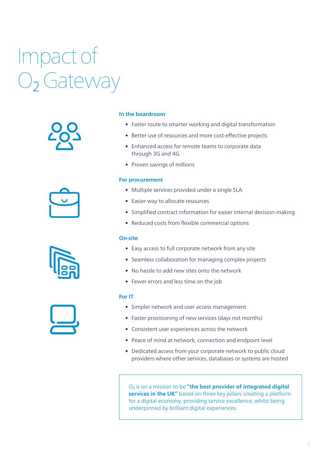## Impact of O<sub>2</sub> Gateway









#### **In the boardroom**

- Faster route to smarter working and digital transformation
- Better use of resources and more cost-effective projects
- Enhanced access for remote teams to corporate data through 3G and 4G
- Proven savings of millions

#### **For procurement**

- Multiple services provided under a single SLA
- Easier way to allocate resources
- Simplified contract information for easier internal decision-making
- Reduced costs from flexible commercial options

#### **On-site**

- Easy access to full corporate network from any site
- Seamless collaboration for managing complex projects
- No hassle to add new sites onto the network
- Fewer errors and less time on the job

#### **For IT**

- Simpler network and user access management
- Faster provisioning of new services (days not months)
- Consistent user experiences across the network
- Peace of mind at network, connection and endpoint level
- Dedicated access from your corporate network to public cloud providers where other services, databases or systems are hosted

O2 is on a mission to be **"the best provider of integrated digital services in the UK"** based on three key pillars: creating a platform for a digital economy; providing service excellence, whilst being underpinned by brilliant digital experiences.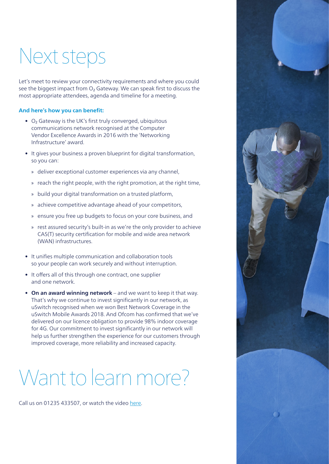### Next steps

Let's meet to review your connectivity requirements and where you could see the biggest impact from  $O<sub>2</sub>$  Gateway. We can speak first to discuss the most appropriate attendees, agenda and timeline for a meeting.

#### **And here's how you can benefit:**

- O<sub>2</sub> Gateway is the UK's first truly converged, ubiquitous communications network recognised at the Computer Vendor Excellence Awards in 2016 with the 'Networking Infrastructure' award.
- It gives your business a proven blueprint for digital transformation, so you can:
	- » deliver exceptional customer experiences via any channel,
	- » reach the right people, with the right promotion, at the right time,
	- » build your digital transformation on a trusted platform,
	- » achieve competitive advantage ahead of your competitors,
	- » ensure you free up budgets to focus on your core business, and
	- » rest assured security's built-in as we're the only provider to achieve CAS(T) security certification for mobile and wide area network (WAN) infrastructures.
- It unifies multiple communication and collaboration tools so your people can work securely and without interruption.
- It offers all of this through one contract, one supplier and one network.
- **On an award winning network** and we want to keep it that way. That's why we continue to invest significantly in our network, as uSwitch recognised when we won Best Network Coverage in the uSwitch Mobile Awards 2018. And Ofcom has confirmed that we've delivered on our licence obligation to provide 98% indoor coverage for 4G. Our commitment to invest significantly in our network will help us further strengthen the experience for our customers through improved coverage, more reliability and increased capacity.

### Want to learn more?

Call us on 01235 433507, or watch the video [here](http://www.o2.co.uk/enterprise/services/connectivity/o2-gateway).